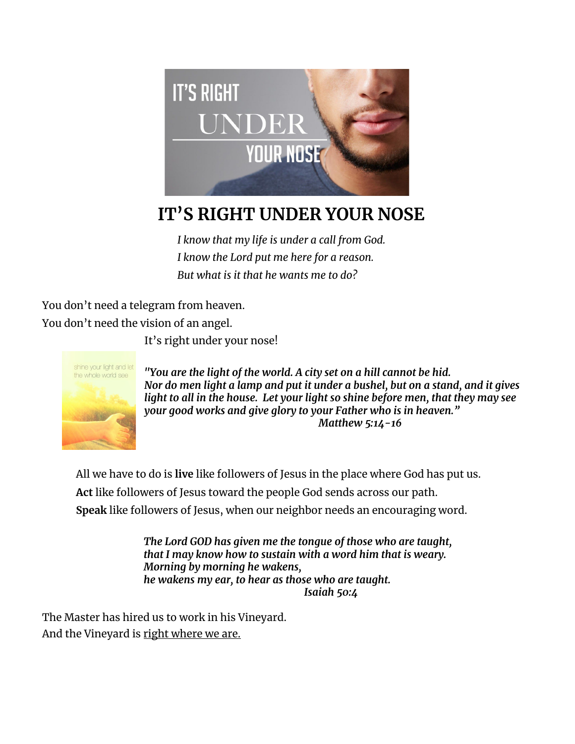

## **IT'S RIGHT UNDER YOUR NOSE**

*I know that my life is under a call from God. I know the Lord put me here for a reason. But what is it that he wants me to do?*

You don't need a telegram from heaven. You don't need the vision of an angel.

It's right under your nose!



*"You are the light of the world. A city set on a hill cannot be hid. Nor do men light a lamp and put it under a bushel, but on a stand, and it gives light to all in the house. Let your light so shine before men, that they may see your good works and give glory to your Father who is in heaven." Matthew 5:14-16*

All we have to do is **live** like followers of Jesus in the place where God has put us. **Act** like followers of Jesus toward the people God sends across our path. **Speak** like followers of Jesus, when our neighbor needs an encouraging word.

> *The Lord GOD has given me the tongue of those who are taught, that I may know how to sustain with a word him that is weary. Morning by morning he wakens, he wakens my ear, to hear as those who are taught. Isaiah 50:4*

The Master has hired us to work in his Vineyard. And the Vineyard is right where we are.